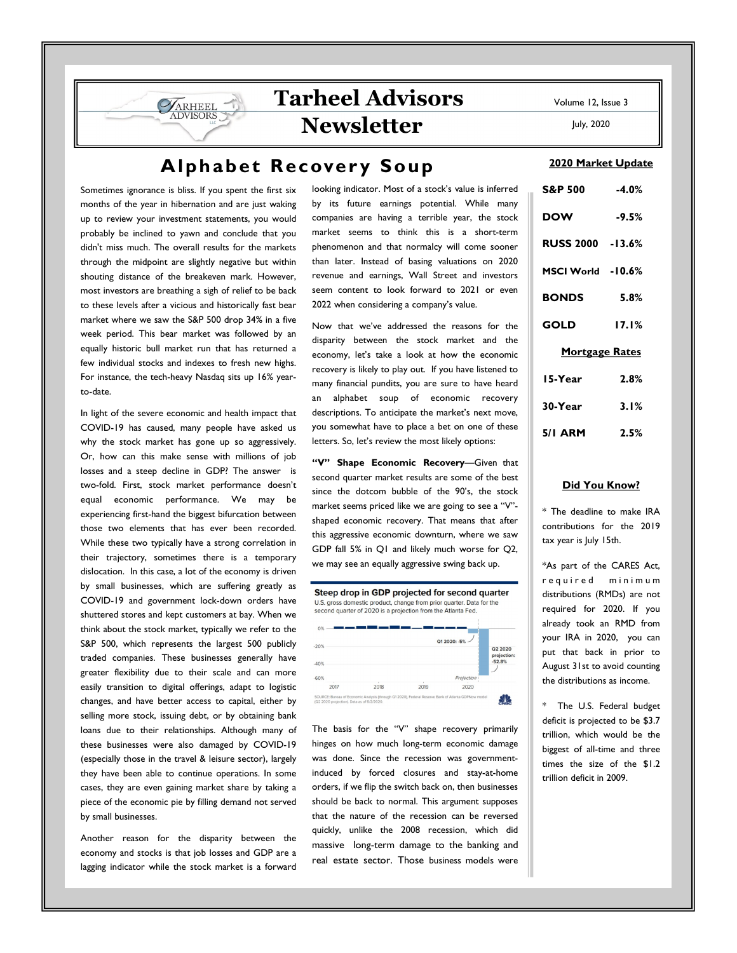July, 2020

# **Alphabet Recovery Soup**

Sometimes ignorance is bliss. If you spent the first six months of the year in hibernation and are just waking up to review your investment statements, you would probably be inclined to yawn and conclude that you didn't miss much. The overall results for the markets through the midpoint are slightly negative but within shouting distance of the breakeven mark. However, most investors are breathing a sigh of relief to be back to these levels after a vicious and historically fast bear market where we saw the S&P 500 drop 34% in a five week period. This bear market was followed by an equally historic bull market run that has returned a few individual stocks and indexes to fresh new highs. For instance, the tech-heavy Nasdaq sits up 16% yearto-date.

**VARHEEL** 

In light of the severe economic and health impact that COVID-19 has caused, many people have asked us why the stock market has gone up so aggressively. Or, how can this make sense with millions of job losses and a steep decline in GDP? The answer is two-fold. First, stock market performance doesn't equal economic performance. We may be experiencing first-hand the biggest bifurcation between those two elements that has ever been recorded. While these two typically have a strong correlation in their trajectory, sometimes there is a temporary dislocation. In this case, a lot of the economy is driven by small businesses, which are suffering greatly as COVID-19 and government lock-down orders have shuttered stores and kept customers at bay. When we think about the stock market, typically we refer to the S&P 500, which represents the largest 500 publicly traded companies. These businesses generally have greater flexibility due to their scale and can more easily transition to digital offerings, adapt to logistic changes, and have better access to capital, either by selling more stock, issuing debt, or by obtaining bank loans due to their relationships. Although many of these businesses were also damaged by COVID-19 (especially those in the travel & leisure sector), largely they have been able to continue operations. In some cases, they are even gaining market share by taking a piece of the economic pie by filling demand not served by small businesses.

Another reason for the disparity between the economy and stocks is that job losses and GDP are a lagging indicator while the stock market is a forward

looking indicator. Most of a stock's value is inferred by its future earnings potential. While many companies are having a terrible year, the stock market seems to think this is a short-term phenomenon and that normalcy will come sooner than later. Instead of basing valuations on 2020 revenue and earnings, Wall Street and investors seem content to look forward to 2021 or even 2022 when considering a company's value.

**Tarheel Advisors** 

**Newsletter** 

Now that we've addressed the reasons for the disparity between the stock market and the economy, let's take a look at how the economic recovery is likely to play out. If you have listened to many financial pundits, you are sure to have heard an alphabet soup of economic recovery descriptions. To anticipate the market's next move, you somewhat have to place a bet on one of these letters. So, let's review the most likely options:

"V" Shape Economic Recovery-Given that second quarter market results are some of the best since the dotcom bubble of the 90's, the stock market seems priced like we are going to see a "V" shaped economic recovery. That means that after this aggressive economic downturn, where we saw GDP fall 5% in Q1 and likely much worse for Q2, we may see an equally aggressive swing back up.



The basis for the "V" shape recovery primarily hinges on how much long-term economic damage was done. Since the recession was governmentinduced by forced closures and stay-at-home orders, if we flip the switch back on, then businesses should be back to normal. This argument supposes that the nature of the recession can be reversed quickly, unlike the 2008 recession, which did massive long-term damage to the banking and real estate sector. Those business models were

### 2020 Market Update

| S&P 500 -4.0%         |         |
|-----------------------|---------|
| <b>DOW</b>            | $-9.5%$ |
| RUSS 2000 -13.6%      |         |
| MSCI World -10.6%     |         |
| <b>BONDS</b>          | 5.8%    |
| GOLD                  | 17.1%   |
| <b>Mortgage Rates</b> |         |
| 15-Year               | 2.8%    |
| 30-Year               | 3.1%    |
| 5/I ARM               | 2.5%    |

### Did You Know?

\* The deadline to make IRA contributions for the 2019 tax year is July 15th.

\*As part of the CARES Act, r e quir e d minimum distributions (RMDs) are not required for 2020. If you already took an RMD from your IRA in 2020, you can put that back in prior to August 31st to avoid counting the distributions as income.

\* The U.S. Federal budget deficit is projected to be \$3.7 trillion, which would be the biggest of all-time and three times the size of the \$1.2 trillion deficit in 2009.